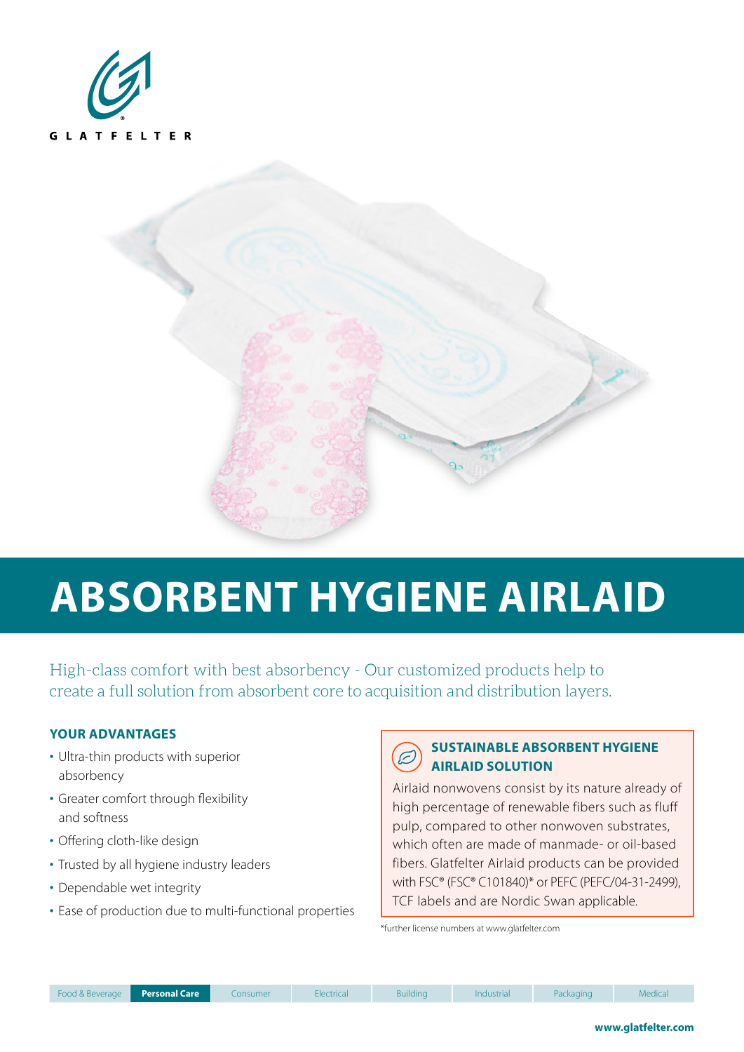



# **ABSORBENT HYGIENE AIRLAID**

High-class comfort with best absorbency - Our customized products help to create a full solution from absorbent core to acquisition and distribution layers.

#### **YOUR ADVANTAGES**

- Ultra-thin products with superior absorbency
- Greater comfort through flexibility and softness
- Offering cloth-like design
- Trusted by all hygiene industry leaders
- Dependable wet integrity
- Ease of production due to multi-functional properties

### **SUSTAINABLE ABSORBENT HYGIENE AIRLAID SOLUTION**

Airlaid nonwovens consist by its nature already of high percentage of renewable fibers such as fluff pulp, compared to other nonwoven substrates, which often are made of manmade- or oil-based fibers. Glatfelter Airlaid products can be provided with FSC® (FSC® C101840)\* or PEFC (PEFC/04-31-2499), TCF labels and are Nordic Swan applicable.

\*further license numbers at www.glatfelter.com

| Food & Beverage |  |
|-----------------|--|
|                 |  |